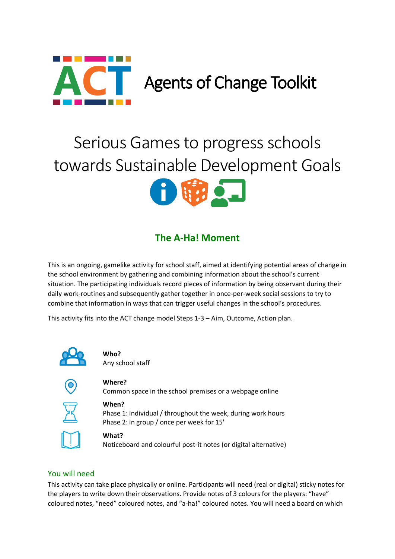

# Serious Games to progress schools towards Sustainable Development Goals



# **The A-Ha! Moment**

This is an ongoing, gamelike activity for school staff, aimed at identifying potential areas of change in the school environment by gathering and combining information about the school's current situation. The participating individuals record pieces of information by being observant during their daily work-routines and subsequently gather together in once-per-week social sessions to try to combine that information in ways that can trigger useful changes in the school's procedures.

This activity fits into the ACT change model Steps 1-3 – Aim, Outcome, Action plan.



**Who?** Any school staff



## **Where?**

Common space in the school premises or a webpage online



#### **When?**

Phase 1: individual / throughout the week, during work hours Phase 2: in group / once per week for 15'



#### **What?**

Noticeboard and colourful post-it notes (or digital alternative)

### You will need

This activity can take place physically or online. Participants will need (real or digital) sticky notes for the players to write down their observations. Provide notes of 3 colours for the players: "have" coloured notes, "need" coloured notes, and "a-ha!" coloured notes. You will need a board on which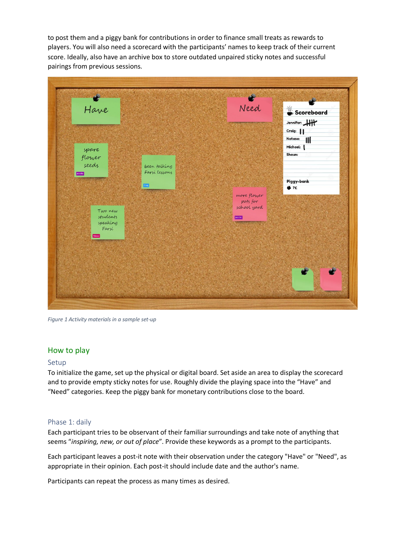to post them and a piggy bank for contributions in order to finance small treats as rewards to players. You will also need a scorecard with the participants' names to keep track of their current score. Ideally, also have an archive box to store outdated unpaired sticky notes and successful pairings from previous sessions.



*Figure 1 Activity materials in a sample set-up*

#### How to play

#### Setup

To initialize the game, set up the physical or digital board. Set aside an area to display the scorecard and to provide empty sticky notes for use. Roughly divide the playing space into the "Have" and "Need" categories. Keep the piggy bank for monetary contributions close to the board.

#### Phase 1: daily

Each participant tries to be observant of their familiar surroundings and take note of anything that seems "*inspiring, new, or out of place*". Provide these keywords as a prompt to the participants.

Each participant leaves a post-it note with their observation under the category "Have" or "Need", as appropriate in their opinion. Each post-it should include date and the author's name.

Participants can repeat the process as many times as desired.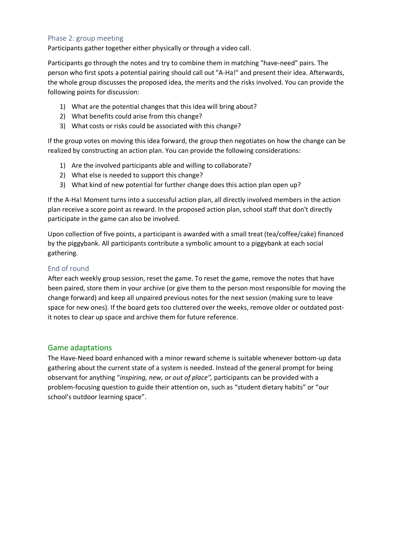#### Phase 2: group meeting

Participants gather together either physically or through a video call.

Participants go through the notes and try to combine them in matching "have-need" pairs. The person who first spots a potential pairing should call out "A-Ha!" and present their idea. Afterwards, the whole group discusses the proposed idea, the merits and the risks involved. You can provide the following points for discussion:

- 1) What are the potential changes that this idea will bring about?
- 2) What benefits could arise from this change?
- 3) What costs or risks could be associated with this change?

If the group votes on moving this idea forward, the group then negotiates on how the change can be realized by constructing an action plan. You can provide the following considerations:

- 1) Are the involved participants able and willing to collaborate?
- 2) What else is needed to support this change?
- 3) What kind of new potential for further change does this action plan open up?

If the A-Ha! Moment turns into a successful action plan, all directly involved members in the action plan receive a score point as reward. In the proposed action plan, school staff that don't directly participate in the game can also be involved.

Upon collection of five points, a participant is awarded with a small treat (tea/coffee/cake) financed by the piggybank. All participants contribute a symbolic amount to a piggybank at each social gathering.

#### End of round

After each weekly group session, reset the game. To reset the game, remove the notes that have been paired, store them in your archive (or give them to the person most responsible for moving the change forward) and keep all unpaired previous notes for the next session (making sure to leave space for new ones). If the board gets too cluttered over the weeks, remove older or outdated postit notes to clear up space and archive them for future reference.

#### Game adaptations

The Have-Need board enhanced with a minor reward scheme is suitable whenever bottom-up data gathering about the current state of a system is needed. Instead of the general prompt for being observant for anything "*inspiring, new, or out of place",* participants can be provided with a problem-focusing question to guide their attention on, such as "student dietary habits" or "our school's outdoor learning space".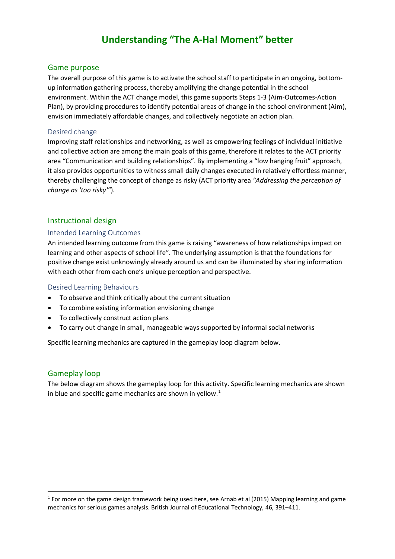## **Understanding "The A-Ha! Moment" better**

#### Game purpose

The overall purpose of this game is to activate the school staff to participate in an ongoing, bottomup information gathering process, thereby amplifying the change potential in the school environment. Within the ACT change model, this game supports Steps 1-3 (Aim-Outcomes-Action Plan), by providing procedures to identify potential areas of change in the school environment (Aim), envision immediately affordable changes, and collectively negotiate an action plan.

#### Desired change

Improving staff relationships and networking, as well as empowering feelings of individual initiative and collective action are among the main goals of this game, therefore it relates to the ACT priority area "Communication and building relationships". By implementing a "low hanging fruit" approach, it also provides opportunities to witness small daily changes executed in relatively effortless manner, thereby challenging the concept of change as risky (ACT priority area *"Addressing the perception of change as 'too risky'"*).

#### Instructional design

#### Intended Learning Outcomes

An intended learning outcome from this game is raising "awareness of how relationships impact on learning and other aspects of school life". The underlying assumption is that the foundations for positive change exist unknowingly already around us and can be illuminated by sharing information with each other from each one's unique perception and perspective.

#### Desired Learning Behaviours

- To observe and think critically about the current situation
- To combine existing information envisioning change
- To collectively construct action plans
- To carry out change in small, manageable ways supported by informal social networks

Specific learning mechanics are captured in the gameplay loop diagram below.

#### Gameplay loop

The below diagram shows the gameplay loop for this activity. Specific learning mechanics are shown in blue and specific game mechanics are shown in yellow. $1$ 

<span id="page-3-0"></span> $1$  For more on the game design framework being used here, see Arnab et al (2015) Mapping learning and game mechanics for serious games analysis. British Journal of Educational Technology, 46, 391–411.